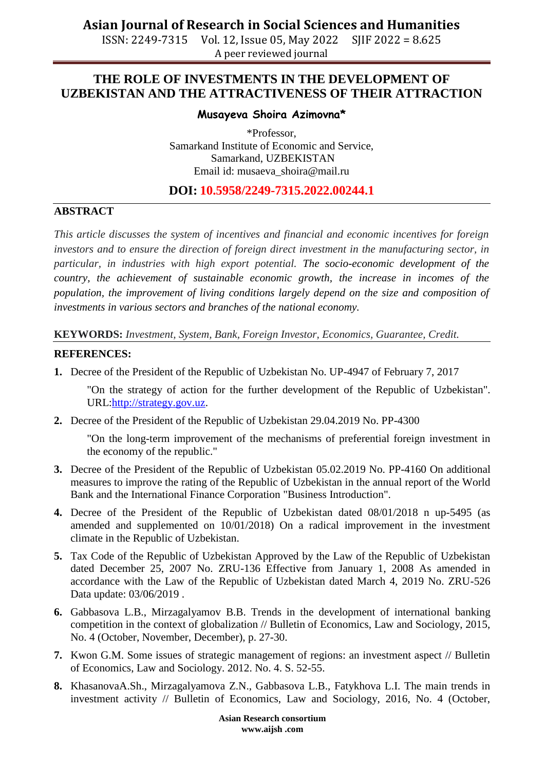**Asian Journal of Research in Social Sciences and Humanities**

ISSN: 2249-7315 Vol. 12, Issue 05, May 2022 SJIF 2022 = 8.625 A peer reviewed journal

## **THE ROLE OF INVESTMENTS IN THE DEVELOPMENT OF UZBEKISTAN AND THE ATTRACTIVENESS OF THEIR ATTRACTION**

#### **Musayeva Shoira Azimovna\***

\*Professor, Samarkand Institute of Economic and Service, Samarkand, UZBEKISTAN Email id: [musaeva\\_shoira@mail.ru](mailto:musaeva_shoira@mail.ru)

### **DOI: 10.5958/2249-7315.2022.00244.1**

#### **ABSTRACT**

*This article discusses the system of incentives and financial and economic incentives for foreign investors and to ensure the direction of foreign direct investment in the manufacturing sector, in particular, in industries with high export potential. The socio-economic development of the country, the achievement of sustainable economic growth, the increase in incomes of the population, the improvement of living conditions largely depend on the size and composition of investments in various sectors and branches of the national economy.*

**KEYWORDS:** *Investment, System, Bank, Foreign Investor, Economics, Guarantee, Credit.*

#### **REFERENCES:**

**1.** Decree of the President of the Republic of Uzbekistan No. UP-4947 of February 7, 2017

"On the strategy of action for the further development of the Republic of Uzbekistan". URL[:http://strategy.gov.uz.](http://strategy.gov.uz/)

**2.** Decree of the President of the Republic of Uzbekistan 29.04.2019 No. PP-4300

"On the long-term improvement of the mechanisms of preferential foreign investment in the economy of the republic."

- **3.** Decree of the President of the Republic of Uzbekistan 05.02.2019 No. PP-4160 On additional measures to improve the rating of the Republic of Uzbekistan in the annual report of the World Bank and the International Finance Corporation "Business Introduction".
- **4.** Decree of the President of the Republic of Uzbekistan dated 08/01/2018 n up-5495 (as amended and supplemented on 10/01/2018) On a radical improvement in the investment climate in the Republic of Uzbekistan.
- **5.** Tax Code of the Republic of Uzbekistan Approved by the Law of the Republic of Uzbekistan dated December 25, 2007 No. ZRU-136 Effective from January 1, 2008 As amended in accordance with the Law of the Republic of Uzbekistan dated March 4, 2019 No. ZRU-526 Data update: 03/06/2019 .
- **6.** Gabbasova L.B., Mirzagalyamov B.B. Trends in the development of international banking competition in the context of globalization // Bulletin of Economics, Law and Sociology, 2015, No. 4 (October, November, December), p. 27-30.
- **7.** Kwon G.M. Some issues of strategic management of regions: an investment aspect // Bulletin of Economics, Law and Sociology. 2012. No. 4. S. 52-55.
- **8.** KhasanovaA.Sh., Mirzagalyamova Z.N., Gabbasova L.B., Fatykhova L.I. The main trends in investment activity // Bulletin of Economics, Law and Sociology, 2016, No. 4 (October,